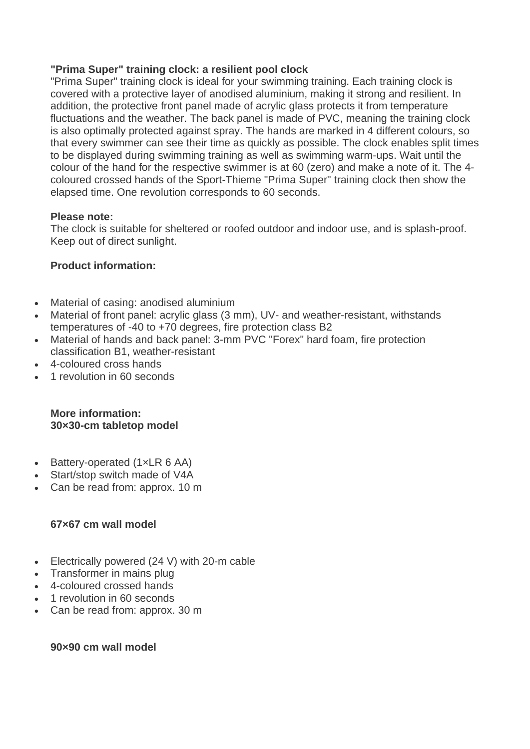### **"Prima Super" training clock: a resilient pool clock**

"Prima Super" training clock is ideal for your swimming training. Each training clock is covered with a protective layer of anodised aluminium, making it strong and resilient. In addition, the protective front panel made of acrylic glass protects it from temperature fluctuations and the weather. The back panel is made of PVC, meaning the training clock is also optimally protected against spray. The hands are marked in 4 different colours, so that every swimmer can see their time as quickly as possible. The clock enables split times to be displayed during swimming training as well as swimming warm-ups. Wait until the colour of the hand for the respective swimmer is at 60 (zero) and make a note of it. The 4 coloured crossed hands of the Sport-Thieme "Prima Super" training clock then show the elapsed time. One revolution corresponds to 60 seconds.

### **Please note:**

The clock is suitable for sheltered or roofed outdoor and indoor use, and is splash-proof. Keep out of direct sunlight.

# **Product information:**

- Material of casing: anodised aluminium
- Material of front panel: acrylic glass (3 mm), UV- and weather-resistant, withstands temperatures of -40 to +70 degrees, fire protection class B2
- Material of hands and back panel: 3-mm PVC "Forex" hard foam, fire protection classification B1, weather-resistant
- 4-coloured cross hands
- 1 revolution in 60 seconds

# **More information: 30×30-cm tabletop model**

- Battery-operated (1xLR 6 AA)
- Start/stop switch made of V4A
- Can be read from: approx. 10 m

# **67×67 cm wall model**

- Electrically powered (24 V) with 20-m cable
- Transformer in mains plug
- 4-coloured crossed hands
- 1 revolution in 60 seconds
- Can be read from: approx. 30 m

### **90×90 cm wall model**